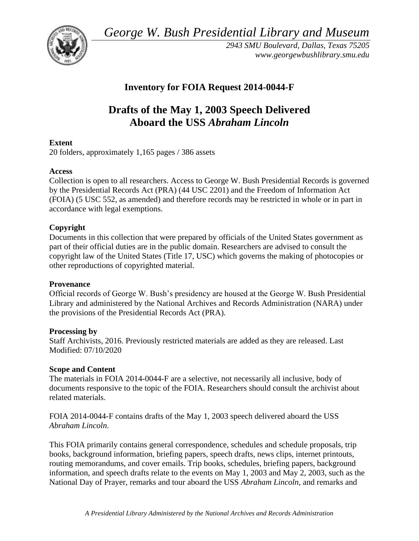*George W. Bush Presidential Library and Museum* 



*2943 SMU Boulevard, Dallas, Texas 75205 <www.georgewbushlibrary.smu.edu>*

# **Inventory for FOIA Request 2014-0044-F**

# **Drafts of the May 1, 2003 Speech Delivered Aboard the USS** *Abraham Lincoln*

# **Extent**

20 folders, approximately 1,165 pages / 386 assets

# **Access**

Collection is open to all researchers. Access to George W. Bush Presidential Records is governed by the Presidential Records Act (PRA) (44 USC 2201) and the Freedom of Information Act (FOIA) (5 USC 552, as amended) and therefore records may be restricted in whole or in part in accordance with legal exemptions.

# **Copyright**

Documents in this collection that were prepared by officials of the United States government as part of their official duties are in the public domain. Researchers are advised to consult the copyright law of the United States (Title 17, USC) which governs the making of photocopies or other reproductions of copyrighted material.

## **Provenance**

 Official records of George W. Bush's presidency are housed at the George W. Bush Presidential Library and administered by the National Archives and Records Administration (NARA) under the provisions of the Presidential Records Act (PRA).

## **Processing by**

Staff Archivists, 2016. Previously restricted materials are added as they are released. Last Modified: 07/10/2020

## **Scope and Content**

 The materials in FOIA 2014-0044-F are a selective, not necessarily all inclusive, body of documents responsive to the topic of the FOIA. Researchers should consult the archivist about related materials.

FOIA 2014-0044-F contains drafts of the May 1, 2003 speech delivered aboard the USS *Abraham Lincoln*.

This FOIA primarily contains general correspondence, schedules and schedule proposals, trip books, background information, briefing papers, speech drafts, news clips, internet printouts, routing memorandums, and cover emails. Trip books, schedules, briefing papers, background information, and speech drafts relate to the events on May 1, 2003 and May 2, 2003, such as the National Day of Prayer, remarks and tour aboard the USS *Abraham Lincoln*, and remarks and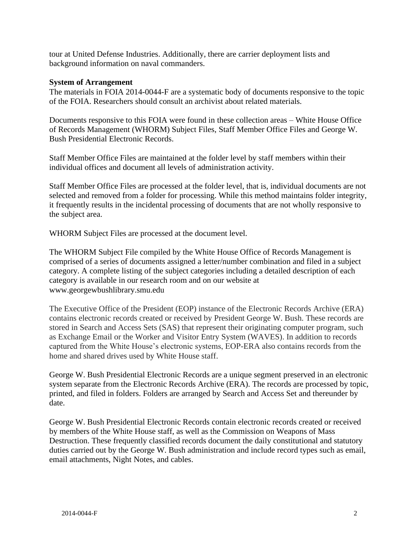tour at United Defense Industries. Additionally, there are carrier deployment lists and background information on naval commanders.

### **System of Arrangement**

 The materials in FOIA 2014-0044-F are a systematic body of documents responsive to the topic of the FOIA. Researchers should consult an archivist about related materials.

Documents responsive to this FOIA were found in these collection areas – White House Office of Records Management (WHORM) Subject Files, Staff Member Office Files and George W. Bush Presidential Electronic Records.

Staff Member Office Files are maintained at the folder level by staff members within their individual offices and document all levels of administration activity.

Staff Member Office Files are processed at the folder level, that is, individual documents are not selected and removed from a folder for processing. While this method maintains folder integrity, it frequently results in the incidental processing of documents that are not wholly responsive to the subject area.

WHORM Subject Files are processed at the document level.

The WHORM Subject File compiled by the White House Office of Records Management is comprised of a series of documents assigned a letter/number combination and filed in a subject category. A complete listing of the subject categories including a detailed description of each category is available in our research room and on our website at <www.georgewbushlibrary.smu.edu>

The Executive Office of the President (EOP) instance of the Electronic Records Archive (ERA) contains electronic records created or received by President George W. Bush. These records are stored in Search and Access Sets (SAS) that represent their originating computer program, such as Exchange Email or the Worker and Visitor Entry System (WAVES). In addition to records captured from the White House's electronic systems, EOP-ERA also contains records from the home and shared drives used by White House staff.

George W. Bush Presidential Electronic Records are a unique segment preserved in an electronic system separate from the Electronic Records Archive (ERA). The records are processed by topic, printed, and filed in folders. Folders are arranged by Search and Access Set and thereunder by date.

 duties carried out by the George W. Bush administration and include record types such as email, George W. Bush Presidential Electronic Records contain electronic records created or received by members of the White House staff, as well as the Commission on Weapons of Mass Destruction. These frequently classified records document the daily constitutional and statutory email attachments, Night Notes, and cables.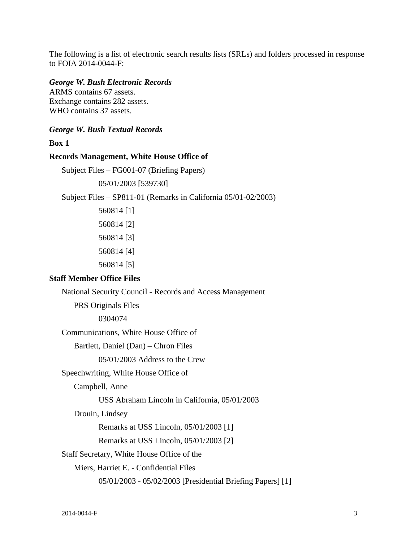The following is a list of electronic search results lists (SRLs) and folders processed in response to FOIA 2014-0044-F:

#### *George W. Bush Electronic Records*

ARMS contains 67 assets. Exchange contains 282 assets. WHO contains 37 assets.

# *George W. Bush Textual Records*

**Box 1** 

#### **Records Management, White House Office of**

```
Subject Files – FG001-07 (Briefing Papers)
```
05/01/2003 [539730]

Subject Files – SP811-01 (Remarks in California 05/01-02/2003)

560814 [1] 560814 [2] 560814 [3] 560814 [4] 560814 [5]

### **Staff Member Office Files**

National Security Council - Records and Access Management

PRS Originals Files

0304074

Communications, White House Office of

Bartlett, Daniel (Dan) – Chron Files

05/01/2003 Address to the Crew

#### Speechwriting, White House Office of

Campbell, Anne

USS Abraham Lincoln in California, 05/01/2003

Drouin, Lindsey

Remarks at USS Lincoln, 05/01/2003 [1]

Remarks at USS Lincoln, 05/01/2003 [2]

Staff Secretary, White House Office of the

Miers, Harriet E. - Confidential Files

05/01/2003 - 05/02/2003 [Presidential Briefing Papers] [1]